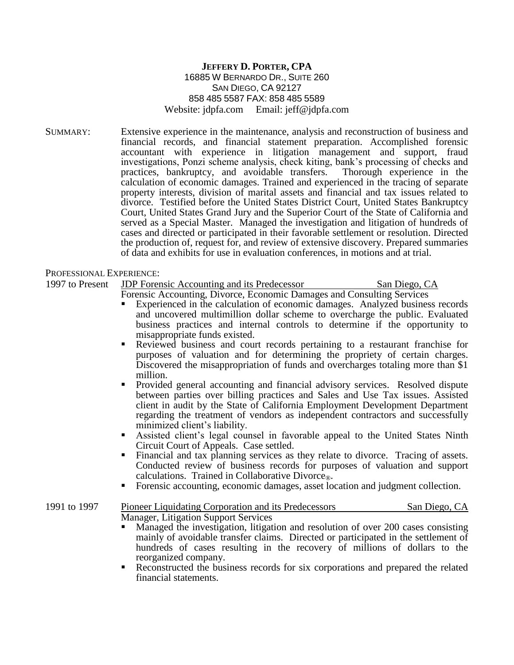## **JEFFERY D. PORTER, CPA** 16885 W BERNARDO DR., SUITE 260 SAN DIEGO, CA 92127 858 485 5587 FAX: 858 485 5589 Website: jdpfa.com Email: jeff@jdpfa.com

SUMMARY: Extensive experience in the maintenance, analysis and reconstruction of business and financial records, and financial statement preparation. Accomplished forensic accountant with experience in litigation management and support, fraud investigations, Ponzi scheme analysis, check kiting, bank's processing of checks and practices, bankruptcy, and avoidable transfers. Thorough experience in the calculation of economic damages. Trained and experienced in the tracing of separate property interests, division of marital assets and financial and tax issues related to divorce. Testified before the United States District Court, United States Bankruptcy Court, United States Grand Jury and the Superior Court of the State of California and served as a Special Master. Managed the investigation and litigation of hundreds of cases and directed or participated in their favorable settlement or resolution. Directed the production of, request for, and review of extensive discovery. Prepared summaries of data and exhibits for use in evaluation conferences, in motions and at trial.

PROFESSIONAL EXPERIENCE:

## 1997 to Present JDP Forensic Accounting and its Predecessor San Diego, CA

Forensic Accounting, Divorce, Economic Damages and Consulting Services

- Experienced in the calculation of economic damages. Analyzed business records and uncovered multimillion dollar scheme to overcharge the public. Evaluated business practices and internal controls to determine if the opportunity to misappropriate funds existed.
- Reviewed business and court records pertaining to a restaurant franchise for purposes of valuation and for determining the propriety of certain charges. Discovered the misappropriation of funds and overcharges totaling more than \$1 million.
- Provided general accounting and financial advisory services. Resolved dispute between parties over billing practices and Sales and Use Tax issues. Assisted client in audit by the State of California Employment Development Department regarding the treatment of vendors as independent contractors and successfully minimized client's liability.
- Assisted client's legal counsel in favorable appeal to the United States Ninth Circuit Court of Appeals. Case settled.
- Financial and tax planning services as they relate to divorce. Tracing of assets. Conducted review of business records for purposes of valuation and support calculations. Trained in Collaborative Divorce<sup>®.</sup>
- Forensic accounting, economic damages, asset location and judgment collection.

## 1991 to 1997 Pioneer Liquidating Corporation and its Predecessors San Diego, CA Manager, Litigation Support Services

- Managed the investigation, litigation and resolution of over 200 cases consisting mainly of avoidable transfer claims. Directed or participated in the settlement of hundreds of cases resulting in the recovery of millions of dollars to the reorganized company.
- Reconstructed the business records for six corporations and prepared the related financial statements.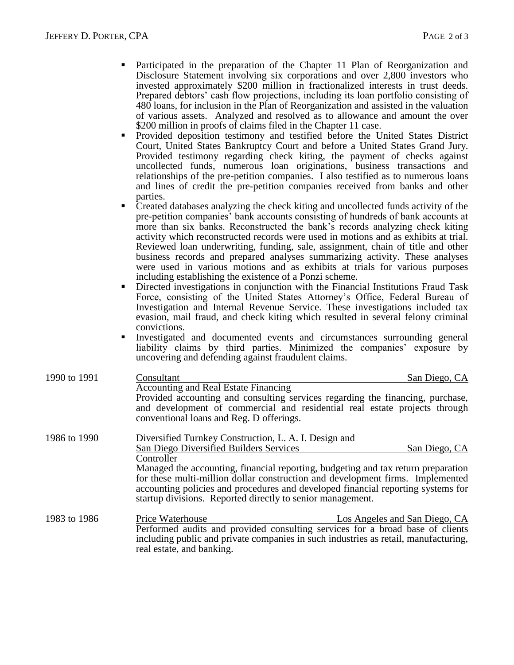- Participated in the preparation of the Chapter 11 Plan of Reorganization and Disclosure Statement involving six corporations and over 2,800 investors who invested approximately \$200 million in fractionalized interests in trust deeds. Prepared debtors' cash flow projections, including its loan portfolio consisting of 480 loans, for inclusion in the Plan of Reorganization and assisted in the valuation of various assets. Analyzed and resolved as to allowance and amount the over \$200 million in proofs of claims filed in the Chapter 11 case.
- Provided deposition testimony and testified before the United States District Court, United States Bankruptcy Court and before a United States Grand Jury. Provided testimony regarding check kiting, the payment of checks against uncollected funds, numerous loan originations, business transactions and relationships of the pre-petition companies. I also testified as to numerous loans and lines of credit the pre-petition companies received from banks and other parties.
- Created databases analyzing the check kiting and uncollected funds activity of the pre-petition companies' bank accounts consisting of hundreds of bank accounts at more than six banks. Reconstructed the bank's records analyzing check kiting activity which reconstructed records were used in motions and as exhibits at trial. Reviewed loan underwriting, funding, sale, assignment, chain of title and other business records and prepared analyses summarizing activity. These analyses were used in various motions and as exhibits at trials for various purposes including establishing the existence of a Ponzi scheme.
- Directed investigations in conjunction with the Financial Institutions Fraud Task Force, consisting of the United States Attorney's Office, Federal Bureau of Investigation and Internal Revenue Service. These investigations included tax evasion, mail fraud, and check kiting which resulted in several felony criminal convictions.
- Investigated and documented events and circumstances surrounding general liability claims by third parties. Minimized the companies' exposure by uncovering and defending against fraudulent claims.

| 1990 to 1991 | Consultant                                                                                                                                                                                                                                                                                                            | San Diego, CA                                                                                                                                                |
|--------------|-----------------------------------------------------------------------------------------------------------------------------------------------------------------------------------------------------------------------------------------------------------------------------------------------------------------------|--------------------------------------------------------------------------------------------------------------------------------------------------------------|
|              | <b>Accounting and Real Estate Financing</b><br>conventional loans and Reg. D offerings.                                                                                                                                                                                                                               | Provided accounting and consulting services regarding the financing, purchase,<br>and development of commercial and residential real estate projects through |
| 1986 to 1990 | Diversified Turnkey Construction, L. A. I. Design and                                                                                                                                                                                                                                                                 |                                                                                                                                                              |
|              | San Diego Diversified Builders Services                                                                                                                                                                                                                                                                               | San Diego, CA                                                                                                                                                |
|              | Controller                                                                                                                                                                                                                                                                                                            |                                                                                                                                                              |
|              | Managed the accounting, financial reporting, budgeting and tax return preparation<br>for these multi-million dollar construction and development firms. Implemented<br>accounting policies and procedures and developed financial reporting systems for<br>startup divisions. Reported directly to senior management. |                                                                                                                                                              |
| 1983 to 1986 | <b>Price Waterhouse</b>                                                                                                                                                                                                                                                                                               | Los Angeles and San Diego, CA                                                                                                                                |
|              |                                                                                                                                                                                                                                                                                                                       | Performed audits and provided consulting services for a broad base of clients                                                                                |
|              |                                                                                                                                                                                                                                                                                                                       | including public and private companies in such industries as retail, manufacturing,                                                                          |
|              | real estate, and banking.                                                                                                                                                                                                                                                                                             |                                                                                                                                                              |